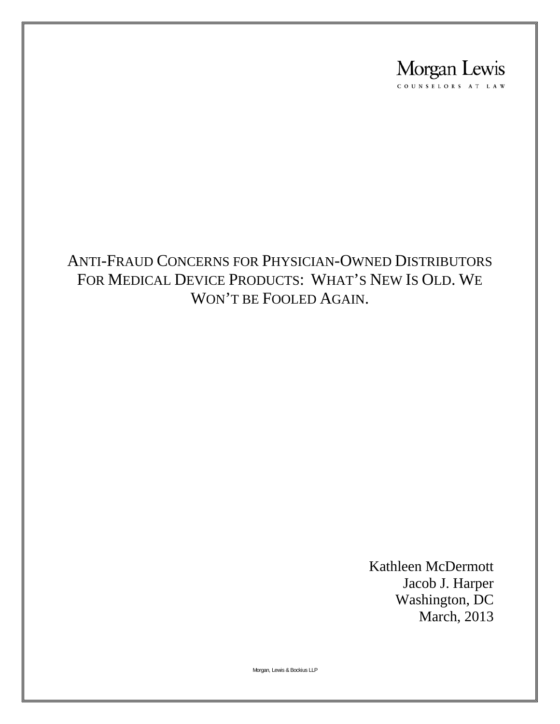

#### ANTI-FRAUD CONCERNS FOR PHYSICIAN-OWNED DISTRIBUTORS FOR MEDICAL DEVICE PRODUCTS: WHAT'S NEW IS OLD. WE WON'T BE FOOLED AGAIN.

Kathleen McDermott Jacob J. Harper Washington, DC March, 2013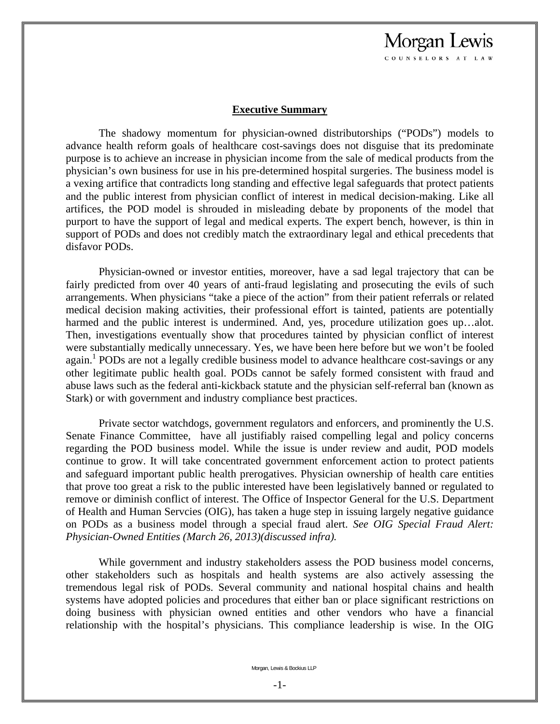#### **Executive Summary**

Morgan Lewis COUNSELORS AT LAW

The shadowy momentum for physician-owned distributorships ("PODs") models to advance health reform goals of healthcare cost-savings does not disguise that its predominate purpose is to achieve an increase in physician income from the sale of medical products from the physician's own business for use in his pre-determined hospital surgeries. The business model is a vexing artifice that contradicts long standing and effective legal safeguards that protect patients and the public interest from physician conflict of interest in medical decision-making. Like all artifices, the POD model is shrouded in misleading debate by proponents of the model that purport to have the support of legal and medical experts. The expert bench, however, is thin in support of PODs and does not credibly match the extraordinary legal and ethical precedents that disfavor PODs.

Physician-owned or investor entities, moreover, have a sad legal trajectory that can be fairly predicted from over 40 years of anti-fraud legislating and prosecuting the evils of such arrangements. When physicians "take a piece of the action" from their patient referrals or related medical decision making activities, their professional effort is tainted, patients are potentially harmed and the public interest is undermined. And, yes, procedure utilization goes up...alot. Then, investigations eventually show that procedures tainted by physician conflict of interest were substantially medically unnecessary. Yes, we have been here before but we won't be fooled again.<sup>1</sup> PODs are not a legally credible business model to advance healthcare cost-savings or any other legitimate public health goal. PODs cannot be safely formed consistent with fraud and abuse laws such as the federal anti-kickback statute and the physician self-referral ban (known as Stark) or with government and industry compliance best practices.

Private sector watchdogs, government regulators and enforcers, and prominently the U.S. Senate Finance Committee, have all justifiably raised compelling legal and policy concerns regarding the POD business model. While the issue is under review and audit, POD models continue to grow. It will take concentrated government enforcement action to protect patients and safeguard important public health prerogatives. Physician ownership of health care entities that prove too great a risk to the public interested have been legislatively banned or regulated to remove or diminish conflict of interest. The Office of Inspector General for the U.S. Department of Health and Human Servcies (OIG), has taken a huge step in issuing largely negative guidance on PODs as a business model through a special fraud alert. *See OIG Special Fraud Alert: Physician-Owned Entities (March 26, 2013)(discussed infra).* 

While government and industry stakeholders assess the POD business model concerns, other stakeholders such as hospitals and health systems are also actively assessing the tremendous legal risk of PODs. Several community and national hospital chains and health systems have adopted policies and procedures that either ban or place significant restrictions on doing business with physician owned entities and other vendors who have a financial relationship with the hospital's physicians. This compliance leadership is wise. In the OIG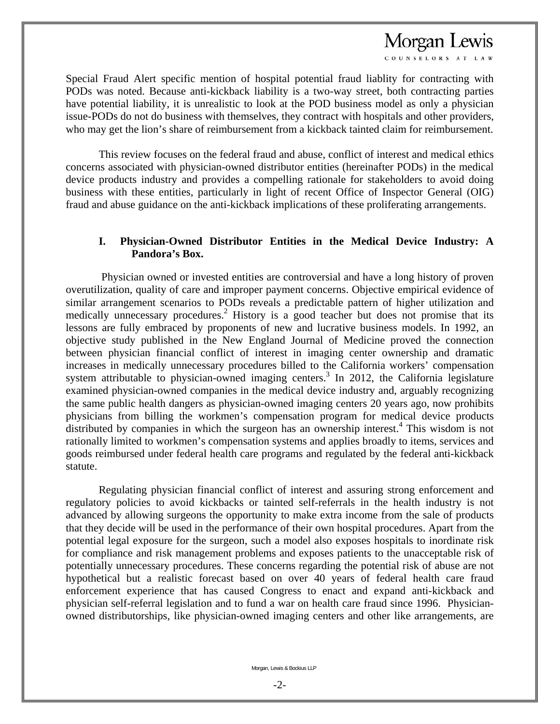COUNSELORS AT LAY

Special Fraud Alert specific mention of hospital potential fraud liablity for contracting with PODs was noted. Because anti-kickback liability is a two-way street, both contracting parties have potential liability, it is unrealistic to look at the POD business model as only a physician issue-PODs do not do business with themselves, they contract with hospitals and other providers, who may get the lion's share of reimbursement from a kickback tainted claim for reimbursement.

 This review focuses on the federal fraud and abuse, conflict of interest and medical ethics concerns associated with physician-owned distributor entities (hereinafter PODs) in the medical device products industry and provides a compelling rationale for stakeholders to avoid doing business with these entities, particularly in light of recent Office of Inspector General (OIG) fraud and abuse guidance on the anti-kickback implications of these proliferating arrangements.

#### **I. Physician-Owned Distributor Entities in the Medical Device Industry: A Pandora's Box.**

 Physician owned or invested entities are controversial and have a long history of proven overutilization, quality of care and improper payment concerns. Objective empirical evidence of similar arrangement scenarios to PODs reveals a predictable pattern of higher utilization and medically unnecessary procedures.<sup>2</sup> History is a good teacher but does not promise that its lessons are fully embraced by proponents of new and lucrative business models. In 1992, an objective study published in the New England Journal of Medicine proved the connection between physician financial conflict of interest in imaging center ownership and dramatic increases in medically unnecessary procedures billed to the California workers' compensation system attributable to physician-owned imaging centers.<sup>3</sup> In 2012, the California legislature examined physician-owned companies in the medical device industry and, arguably recognizing the same public health dangers as physician-owned imaging centers 20 years ago, now prohibits physicians from billing the workmen's compensation program for medical device products distributed by companies in which the surgeon has an ownership interest.<sup>4</sup> This wisdom is not rationally limited to workmen's compensation systems and applies broadly to items, services and goods reimbursed under federal health care programs and regulated by the federal anti-kickback statute.

 Regulating physician financial conflict of interest and assuring strong enforcement and regulatory policies to avoid kickbacks or tainted self-referrals in the health industry is not advanced by allowing surgeons the opportunity to make extra income from the sale of products that they decide will be used in the performance of their own hospital procedures. Apart from the potential legal exposure for the surgeon, such a model also exposes hospitals to inordinate risk for compliance and risk management problems and exposes patients to the unacceptable risk of potentially unnecessary procedures. These concerns regarding the potential risk of abuse are not hypothetical but a realistic forecast based on over 40 years of federal health care fraud enforcement experience that has caused Congress to enact and expand anti-kickback and physician self-referral legislation and to fund a war on health care fraud since 1996. Physicianowned distributorships, like physician-owned imaging centers and other like arrangements, are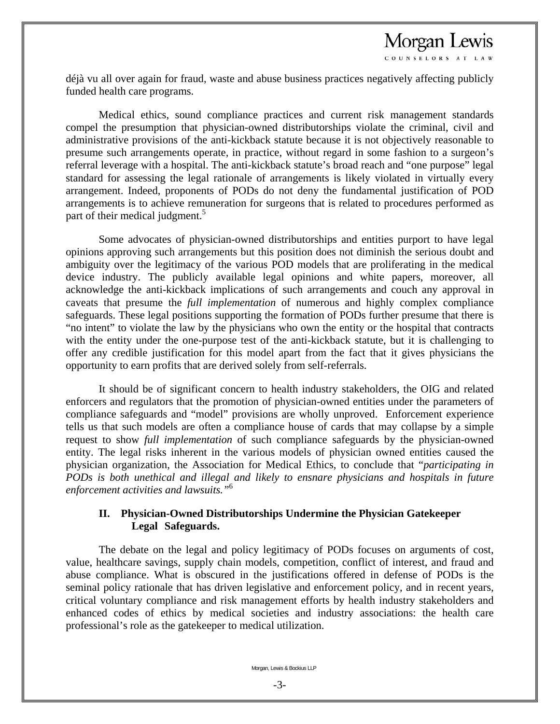COUNSELORS AT LAY

déjà vu all over again for fraud, waste and abuse business practices negatively affecting publicly funded health care programs.

 Medical ethics, sound compliance practices and current risk management standards compel the presumption that physician-owned distributorships violate the criminal, civil and administrative provisions of the anti-kickback statute because it is not objectively reasonable to presume such arrangements operate, in practice, without regard in some fashion to a surgeon's referral leverage with a hospital. The anti-kickback statute's broad reach and "one purpose" legal standard for assessing the legal rationale of arrangements is likely violated in virtually every arrangement. Indeed, proponents of PODs do not deny the fundamental justification of POD arrangements is to achieve remuneration for surgeons that is related to procedures performed as part of their medical judgment.<sup>5</sup>

 Some advocates of physician-owned distributorships and entities purport to have legal opinions approving such arrangements but this position does not diminish the serious doubt and ambiguity over the legitimacy of the various POD models that are proliferating in the medical device industry. The publicly available legal opinions and white papers, moreover, all acknowledge the anti-kickback implications of such arrangements and couch any approval in caveats that presume the *full implementation* of numerous and highly complex compliance safeguards. These legal positions supporting the formation of PODs further presume that there is "no intent" to violate the law by the physicians who own the entity or the hospital that contracts with the entity under the one-purpose test of the anti-kickback statute, but it is challenging to offer any credible justification for this model apart from the fact that it gives physicians the opportunity to earn profits that are derived solely from self-referrals.

 It should be of significant concern to health industry stakeholders, the OIG and related enforcers and regulators that the promotion of physician-owned entities under the parameters of compliance safeguards and "model" provisions are wholly unproved. Enforcement experience tells us that such models are often a compliance house of cards that may collapse by a simple request to show *full implementation* of such compliance safeguards by the physician-owned entity. The legal risks inherent in the various models of physician owned entities caused the physician organization, the Association for Medical Ethics, to conclude that "*participating in PODs is both unethical and illegal and likely to ensnare physicians and hospitals in future enforcement activities and lawsuits."*<sup>6</sup>

#### **II. Physician-Owned Distributorships Undermine the Physician Gatekeeper Legal Safeguards.**

The debate on the legal and policy legitimacy of PODs focuses on arguments of cost, value, healthcare savings, supply chain models, competition, conflict of interest, and fraud and abuse compliance. What is obscured in the justifications offered in defense of PODs is the seminal policy rationale that has driven legislative and enforcement policy, and in recent years, critical voluntary compliance and risk management efforts by health industry stakeholders and enhanced codes of ethics by medical societies and industry associations: the health care professional's role as the gatekeeper to medical utilization.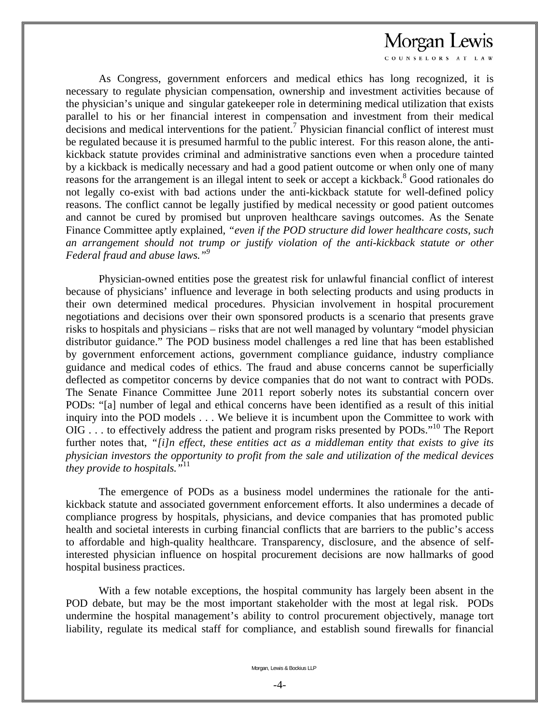COUNSELORS AT LAW

 As Congress, government enforcers and medical ethics has long recognized, it is necessary to regulate physician compensation, ownership and investment activities because of the physician's unique and singular gatekeeper role in determining medical utilization that exists parallel to his or her financial interest in compensation and investment from their medical  $\alpha$  decisions and medical interventions for the patient.<sup>7</sup> Physician financial conflict of interest must be regulated because it is presumed harmful to the public interest. For this reason alone, the antikickback statute provides criminal and administrative sanctions even when a procedure tainted by a kickback is medically necessary and had a good patient outcome or when only one of many reasons for the arrangement is an illegal intent to seek or accept a kickback.<sup>8</sup> Good rationales do not legally co-exist with bad actions under the anti-kickback statute for well-defined policy reasons. The conflict cannot be legally justified by medical necessity or good patient outcomes and cannot be cured by promised but unproven healthcare savings outcomes. As the Senate Finance Committee aptly explained, *"even if the POD structure did lower healthcare costs, such an arrangement should not trump or justify violation of the anti-kickback statute or other Federal fraud and abuse laws."9* 

 Physician-owned entities pose the greatest risk for unlawful financial conflict of interest because of physicians' influence and leverage in both selecting products and using products in their own determined medical procedures. Physician involvement in hospital procurement negotiations and decisions over their own sponsored products is a scenario that presents grave risks to hospitals and physicians – risks that are not well managed by voluntary "model physician distributor guidance." The POD business model challenges a red line that has been established by government enforcement actions, government compliance guidance, industry compliance guidance and medical codes of ethics. The fraud and abuse concerns cannot be superficially deflected as competitor concerns by device companies that do not want to contract with PODs. The Senate Finance Committee June 2011 report soberly notes its substantial concern over PODs: "[a] number of legal and ethical concerns have been identified as a result of this initial inquiry into the POD models . . . We believe it is incumbent upon the Committee to work with OIG . . . to effectively address the patient and program risks presented by PODs."<sup>10</sup> The Report further notes that, *"[i]n effect, these entities act as a middleman entity that exists to give its physician investors the opportunity to profit from the sale and utilization of the medical devices they provide to hospitals."*<sup>11</sup>

 The emergence of PODs as a business model undermines the rationale for the antikickback statute and associated government enforcement efforts. It also undermines a decade of compliance progress by hospitals, physicians, and device companies that has promoted public health and societal interests in curbing financial conflicts that are barriers to the public's access to affordable and high-quality healthcare. Transparency, disclosure, and the absence of selfinterested physician influence on hospital procurement decisions are now hallmarks of good hospital business practices.

 With a few notable exceptions, the hospital community has largely been absent in the POD debate, but may be the most important stakeholder with the most at legal risk. PODs undermine the hospital management's ability to control procurement objectively, manage tort liability, regulate its medical staff for compliance, and establish sound firewalls for financial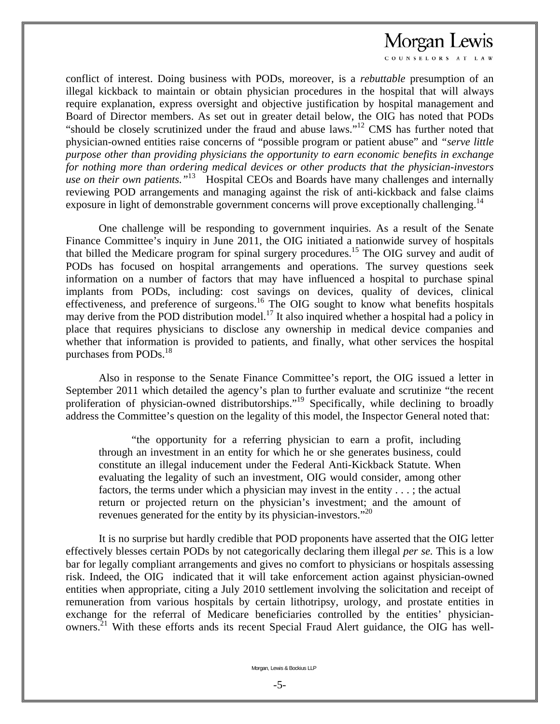COUNSELORS AT LAW

conflict of interest. Doing business with PODs, moreover, is a *rebuttable* presumption of an illegal kickback to maintain or obtain physician procedures in the hospital that will always require explanation, express oversight and objective justification by hospital management and Board of Director members. As set out in greater detail below, the OIG has noted that PODs "should be closely scrutinized under the fraud and abuse laws."12 CMS has further noted that physician-owned entities raise concerns of "possible program or patient abuse" and *"serve little purpose other than providing physicians the opportunity to earn economic benefits in exchange for nothing more than ordering medical devices or other products that the physician-investors use on their own patients.*<sup>"13</sup> Hospital CEOs and Boards have many challenges and internally reviewing POD arrangements and managing against the risk of anti-kickback and false claims exposure in light of demonstrable government concerns will prove exceptionally challenging.<sup>14</sup>

 One challenge will be responding to government inquiries. As a result of the Senate Finance Committee's inquiry in June 2011, the OIG initiated a nationwide survey of hospitals that billed the Medicare program for spinal surgery procedures.15 The OIG survey and audit of PODs has focused on hospital arrangements and operations. The survey questions seek information on a number of factors that may have influenced a hospital to purchase spinal implants from PODs, including: cost savings on devices, quality of devices, clinical effectiveness, and preference of surgeons.<sup>16</sup> The OIG sought to know what benefits hospitals may derive from the POD distribution model.<sup>17</sup> It also inquired whether a hospital had a policy in place that requires physicians to disclose any ownership in medical device companies and whether that information is provided to patients, and finally, what other services the hospital purchases from PODs.<sup>18</sup>

 Also in response to the Senate Finance Committee's report, the OIG issued a letter in September 2011 which detailed the agency's plan to further evaluate and scrutinize "the recent proliferation of physician-owned distributorships."<sup>19</sup> Specifically, while declining to broadly address the Committee's question on the legality of this model, the Inspector General noted that:

 "the opportunity for a referring physician to earn a profit, including through an investment in an entity for which he or she generates business, could constitute an illegal inducement under the Federal Anti-Kickback Statute. When evaluating the legality of such an investment, OIG would consider, among other factors, the terms under which a physician may invest in the entity . . . ; the actual return or projected return on the physician's investment; and the amount of revenues generated for the entity by its physician-investors."<sup>20</sup>

 It is no surprise but hardly credible that POD proponents have asserted that the OIG letter effectively blesses certain PODs by not categorically declaring them illegal *per se.* This is a low bar for legally compliant arrangements and gives no comfort to physicians or hospitals assessing risk. Indeed, the OIG indicated that it will take enforcement action against physician-owned entities when appropriate, citing a July 2010 settlement involving the solicitation and receipt of remuneration from various hospitals by certain lithotripsy, urology, and prostate entities in exchange for the referral of Medicare beneficiaries controlled by the entities' physicianowners.<sup>21</sup> With these efforts ands its recent Special Fraud Alert guidance, the OIG has well-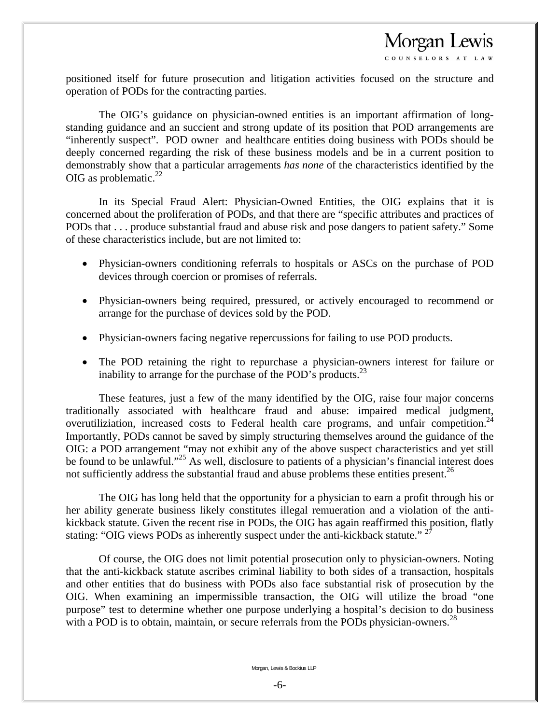COUNSELORS AT LAW

positioned itself for future prosecution and litigation activities focused on the structure and operation of PODs for the contracting parties.

 The OIG's guidance on physician-owned entities is an important affirmation of longstanding guidance and an succient and strong update of its position that POD arrangements are "inherently suspect". POD owner and healthcare entities doing business with PODs should be deeply concerned regarding the risk of these business models and be in a current position to demonstrably show that a particular arragements *has none* of the characteristics identified by the OIG as problematic. $^{22}$ 

 In its Special Fraud Alert: Physician-Owned Entities, the OIG explains that it is concerned about the proliferation of PODs, and that there are "specific attributes and practices of PODs that . . . produce substantial fraud and abuse risk and pose dangers to patient safety." Some of these characteristics include, but are not limited to:

- Physician-owners conditioning referrals to hospitals or ASCs on the purchase of POD devices through coercion or promises of referrals.
- Physician-owners being required, pressured, or actively encouraged to recommend or arrange for the purchase of devices sold by the POD.
- Physician-owners facing negative repercussions for failing to use POD products.
- The POD retaining the right to repurchase a physician-owners interest for failure or inability to arrange for the purchase of the POD's products.<sup>23</sup>

 These features, just a few of the many identified by the OIG, raise four major concerns traditionally associated with healthcare fraud and abuse: impaired medical judgment, overutiliziation, increased costs to Federal health care programs, and unfair competition.<sup>24</sup> Importantly, PODs cannot be saved by simply structuring themselves around the guidance of the OIG: a POD arrangement "may not exhibit any of the above suspect characteristics and yet still be found to be unlawful."<sup>25</sup> As well, disclosure to patients of a physician's financial interest does not sufficiently address the substantial fraud and abuse problems these entities present.<sup>26</sup>

 The OIG has long held that the opportunity for a physician to earn a profit through his or her ability generate business likely constitutes illegal remueration and a violation of the antikickback statute. Given the recent rise in PODs, the OIG has again reaffirmed this position, flatly stating: "OIG views PODs as inherently suspect under the anti-kickback statute." <sup>27</sup>

 Of course, the OIG does not limit potential prosecution only to physician-owners. Noting that the anti-kickback statute ascribes criminal liability to both sides of a transaction, hospitals and other entities that do business with PODs also face substantial risk of prosecution by the OIG. When examining an impermissible transaction, the OIG will utilize the broad "one purpose" test to determine whether one purpose underlying a hospital's decision to do business with a POD is to obtain, maintain, or secure referrals from the PODs physician-owners.<sup>28</sup>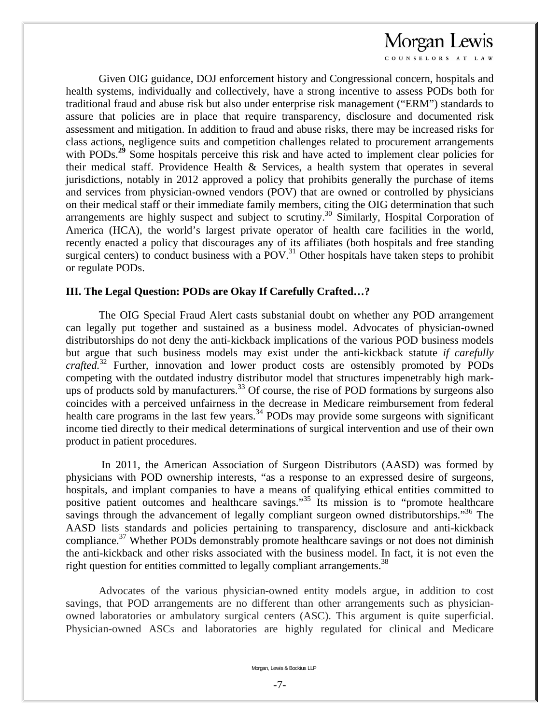COUNSELORS AT LAW

 Given OIG guidance, DOJ enforcement history and Congressional concern, hospitals and health systems, individually and collectively, have a strong incentive to assess PODs both for traditional fraud and abuse risk but also under enterprise risk management ("ERM") standards to assure that policies are in place that require transparency, disclosure and documented risk assessment and mitigation. In addition to fraud and abuse risks, there may be increased risks for class actions, negligence suits and competition challenges related to procurement arrangements with PODs.<sup>29</sup> Some hospitals perceive this risk and have acted to implement clear policies for their medical staff. Providence Health & Services, a health system that operates in several jurisdictions, notably in 2012 approved a policy that prohibits generally the purchase of items and services from physician-owned vendors (POV) that are owned or controlled by physicians on their medical staff or their immediate family members, citing the OIG determination that such arrangements are highly suspect and subject to scrutiny.<sup>30</sup> Similarly, Hospital Corporation of America (HCA), the world's largest private operator of health care facilities in the world, recently enacted a policy that discourages any of its affiliates (both hospitals and free standing surgical centers) to conduct business with a  $POV.<sup>31</sup>$  Other hospitals have taken steps to prohibit or regulate PODs.

#### **III. The Legal Question: PODs are Okay If Carefully Crafted…?**

 The OIG Special Fraud Alert casts substanial doubt on whether any POD arrangement can legally put together and sustained as a business model. Advocates of physician-owned distributorships do not deny the anti-kickback implications of the various POD business models but argue that such business models may exist under the anti-kickback statute *if carefully crafted.*32 Further, innovation and lower product costs are ostensibly promoted by PODs competing with the outdated industry distributor model that structures impenetrably high markups of products sold by manufacturers.<sup>33</sup> Of course, the rise of POD formations by surgeons also coincides with a perceived unfairness in the decrease in Medicare reimbursement from federal health care programs in the last few years.<sup>34</sup> PODs may provide some surgeons with significant income tied directly to their medical determinations of surgical intervention and use of their own product in patient procedures.

 In 2011, the American Association of Surgeon Distributors (AASD) was formed by physicians with POD ownership interests, "as a response to an expressed desire of surgeons, hospitals, and implant companies to have a means of qualifying ethical entities committed to positive patient outcomes and healthcare savings."35 Its mission is to "promote healthcare savings through the advancement of legally compliant surgeon owned distributorships."<sup>36</sup> The AASD lists standards and policies pertaining to transparency, disclosure and anti-kickback compliance.<sup>37</sup> Whether PODs demonstrably promote healthcare savings or not does not diminish the anti-kickback and other risks associated with the business model. In fact, it is not even the right question for entities committed to legally compliant arrangements.<sup>38</sup>

Advocates of the various physician-owned entity models argue, in addition to cost savings, that POD arrangements are no different than other arrangements such as physicianowned laboratories or ambulatory surgical centers (ASC). This argument is quite superficial. Physician-owned ASCs and laboratories are highly regulated for clinical and Medicare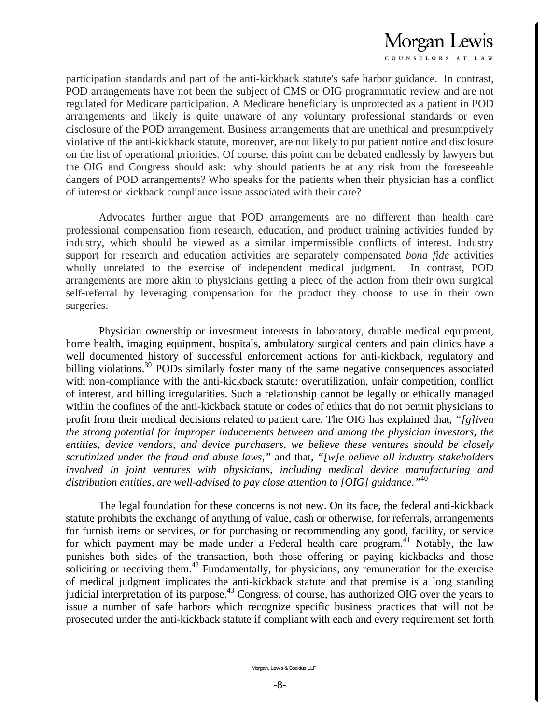COUNSELORS AT LAW

participation standards and part of the anti-kickback statute's safe harbor guidance. In contrast, POD arrangements have not been the subject of CMS or OIG programmatic review and are not regulated for Medicare participation. A Medicare beneficiary is unprotected as a patient in POD arrangements and likely is quite unaware of any voluntary professional standards or even disclosure of the POD arrangement. Business arrangements that are unethical and presumptively violative of the anti-kickback statute, moreover, are not likely to put patient notice and disclosure on the list of operational priorities. Of course, this point can be debated endlessly by lawyers but the OIG and Congress should ask: why should patients be at any risk from the foreseeable dangers of POD arrangements? Who speaks for the patients when their physician has a conflict of interest or kickback compliance issue associated with their care?

 Advocates further argue that POD arrangements are no different than health care professional compensation from research, education, and product training activities funded by industry, which should be viewed as a similar impermissible conflicts of interest. Industry support for research and education activities are separately compensated *bona fide* activities wholly unrelated to the exercise of independent medical judgment. In contrast, POD arrangements are more akin to physicians getting a piece of the action from their own surgical self-referral by leveraging compensation for the product they choose to use in their own surgeries.

 Physician ownership or investment interests in laboratory, durable medical equipment, home health, imaging equipment, hospitals, ambulatory surgical centers and pain clinics have a well documented history of successful enforcement actions for anti-kickback, regulatory and billing violations.<sup>39</sup> PODs similarly foster many of the same negative consequences associated with non-compliance with the anti-kickback statute: overutilization, unfair competition, conflict of interest, and billing irregularities. Such a relationship cannot be legally or ethically managed within the confines of the anti-kickback statute or codes of ethics that do not permit physicians to profit from their medical decisions related to patient care. The OIG has explained that, *"[g]iven the strong potential for improper inducements between and among the physician investors, the entities, device vendors, and device purchasers, we believe these ventures should be closely scrutinized under the fraud and abuse laws,"* and that, *"[w]e believe all industry stakeholders involved in joint ventures with physicians, including medical device manufacturing and distribution entities, are well-advised to pay close attention to [OIG] guidance."*<sup>40</sup>

 The legal foundation for these concerns is not new. On its face, the federal anti-kickback statute prohibits the exchange of anything of value, cash or otherwise, for referrals, arrangements for furnish items or services, *or* for purchasing or recommending any good, facility, or service for which payment may be made under a Federal health care program.<sup>41</sup> Notably, the law punishes both sides of the transaction, both those offering or paying kickbacks and those soliciting or receiving them.<sup>42</sup> Fundamentally, for physicians, any remuneration for the exercise of medical judgment implicates the anti-kickback statute and that premise is a long standing judicial interpretation of its purpose.<sup>43</sup> Congress, of course, has authorized OIG over the years to issue a number of safe harbors which recognize specific business practices that will not be prosecuted under the anti-kickback statute if compliant with each and every requirement set forth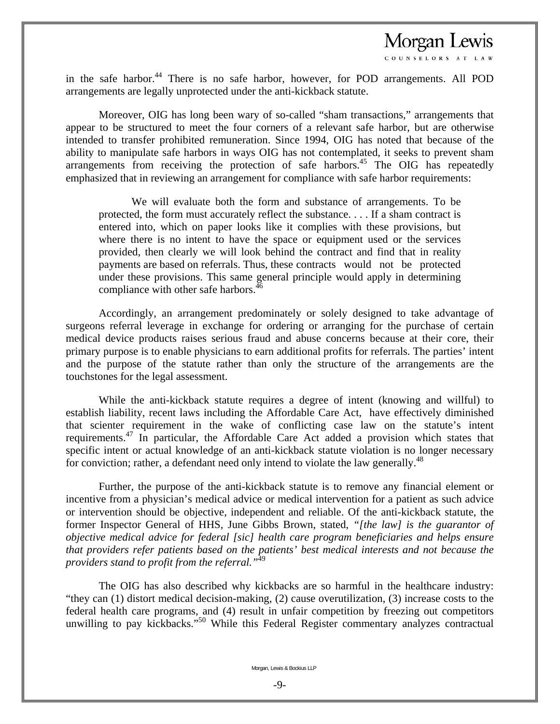COUNSELORS AT LAW

in the safe harbor.<sup>44</sup> There is no safe harbor, however, for POD arrangements. All POD arrangements are legally unprotected under the anti-kickback statute.

 Moreover, OIG has long been wary of so-called "sham transactions," arrangements that appear to be structured to meet the four corners of a relevant safe harbor, but are otherwise intended to transfer prohibited remuneration. Since 1994, OIG has noted that because of the ability to manipulate safe harbors in ways OIG has not contemplated, it seeks to prevent sham arrangements from receiving the protection of safe harbors.45 The OIG has repeatedly emphasized that in reviewing an arrangement for compliance with safe harbor requirements:

 We will evaluate both the form and substance of arrangements. To be protected, the form must accurately reflect the substance. . . . If a sham contract is entered into, which on paper looks like it complies with these provisions, but where there is no intent to have the space or equipment used or the services provided, then clearly we will look behind the contract and find that in reality payments are based on referrals. Thus, these contracts would not be protected under these provisions. This same general principle would apply in determining compliance with other safe harbors.<sup>4</sup>

 Accordingly, an arrangement predominately or solely designed to take advantage of surgeons referral leverage in exchange for ordering or arranging for the purchase of certain medical device products raises serious fraud and abuse concerns because at their core, their primary purpose is to enable physicians to earn additional profits for referrals. The parties' intent and the purpose of the statute rather than only the structure of the arrangements are the touchstones for the legal assessment.

 While the anti-kickback statute requires a degree of intent (knowing and willful) to establish liability, recent laws including the Affordable Care Act, have effectively diminished that scienter requirement in the wake of conflicting case law on the statute's intent requirements.47 In particular, the Affordable Care Act added a provision which states that specific intent or actual knowledge of an anti-kickback statute violation is no longer necessary for conviction; rather, a defendant need only intend to violate the law generally.<sup>48</sup>

 Further, the purpose of the anti-kickback statute is to remove any financial element or incentive from a physician's medical advice or medical intervention for a patient as such advice or intervention should be objective, independent and reliable. Of the anti-kickback statute, the former Inspector General of HHS, June Gibbs Brown, stated, *"[the law] is the guarantor of objective medical advice for federal [sic] health care program beneficiaries and helps ensure that providers refer patients based on the patients' best medical interests and not because the providers stand to profit from the referral."*49

 The OIG has also described why kickbacks are so harmful in the healthcare industry: "they can (1) distort medical decision-making, (2) cause overutilization, (3) increase costs to the federal health care programs, and (4) result in unfair competition by freezing out competitors unwilling to pay kickbacks."<sup>50</sup> While this Federal Register commentary analyzes contractual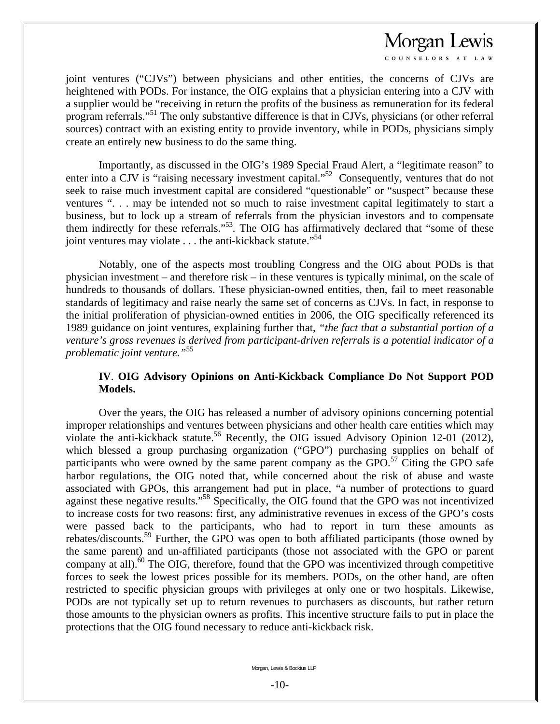COUNSELORS AT LAW

joint ventures ("CJVs") between physicians and other entities, the concerns of CJVs are heightened with PODs. For instance, the OIG explains that a physician entering into a CJV with a supplier would be "receiving in return the profits of the business as remuneration for its federal program referrals."51 The only substantive difference is that in CJVs, physicians (or other referral sources) contract with an existing entity to provide inventory, while in PODs, physicians simply create an entirely new business to do the same thing.

 Importantly, as discussed in the OIG's 1989 Special Fraud Alert, a "legitimate reason" to enter into a CJV is "raising necessary investment capital."<sup>52</sup> Consequently, ventures that do not seek to raise much investment capital are considered "questionable" or "suspect" because these ventures ". . . may be intended not so much to raise investment capital legitimately to start a business, but to lock up a stream of referrals from the physician investors and to compensate them indirectly for these referrals."53*.* The OIG has affirmatively declared that "some of these joint ventures may violate  $\dots$  the anti-kickback statute."<sup>54</sup>

 Notably, one of the aspects most troubling Congress and the OIG about PODs is that physician investment – and therefore risk – in these ventures is typically minimal, on the scale of hundreds to thousands of dollars. These physician-owned entities, then, fail to meet reasonable standards of legitimacy and raise nearly the same set of concerns as CJVs. In fact, in response to the initial proliferation of physician-owned entities in 2006, the OIG specifically referenced its 1989 guidance on joint ventures, explaining further that, *"the fact that a substantial portion of a venture's gross revenues is derived from participant-driven referrals is a potential indicator of a problematic joint venture."*<sup>55</sup>

#### **IV**. **OIG Advisory Opinions on Anti-Kickback Compliance Do Not Support POD Models.**

 Over the years, the OIG has released a number of advisory opinions concerning potential improper relationships and ventures between physicians and other health care entities which may violate the anti-kickback statute.<sup>56</sup> Recently, the OIG issued Advisory Opinion 12-01 (2012), which blessed a group purchasing organization ("GPO") purchasing supplies on behalf of participants who were owned by the same parent company as the GPO.<sup>57</sup> Citing the GPO safe harbor regulations, the OIG noted that, while concerned about the risk of abuse and waste associated with GPOs, this arrangement had put in place, "a number of protections to guard against these negative results."<sup>58</sup> Specifically, the OIG found that the GPO was not incentivized to increase costs for two reasons: first, any administrative revenues in excess of the GPO's costs were passed back to the participants, who had to report in turn these amounts as rebates/discounts.59 Further, the GPO was open to both affiliated participants (those owned by the same parent) and un-affiliated participants (those not associated with the GPO or parent company at all). $^{60}$  The OIG, therefore, found that the GPO was incentivized through competitive forces to seek the lowest prices possible for its members. PODs, on the other hand, are often restricted to specific physician groups with privileges at only one or two hospitals. Likewise, PODs are not typically set up to return revenues to purchasers as discounts, but rather return those amounts to the physician owners as profits. This incentive structure fails to put in place the protections that the OIG found necessary to reduce anti-kickback risk.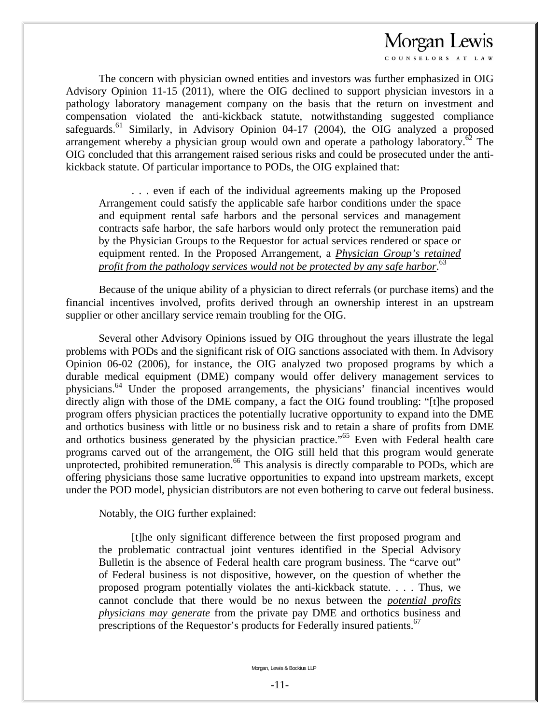OUNSELORS AT LAY

 The concern with physician owned entities and investors was further emphasized in OIG Advisory Opinion 11-15 (2011), where the OIG declined to support physician investors in a pathology laboratory management company on the basis that the return on investment and compensation violated the anti-kickback statute, notwithstanding suggested compliance safeguards.<sup>61</sup> Similarly, in Advisory Opinion 04-17 (2004), the OIG analyzed a proposed arrangement whereby a physician group would own and operate a pathology laboratory.<sup>62</sup> The OIG concluded that this arrangement raised serious risks and could be prosecuted under the antikickback statute. Of particular importance to PODs, the OIG explained that:

 . . . even if each of the individual agreements making up the Proposed Arrangement could satisfy the applicable safe harbor conditions under the space and equipment rental safe harbors and the personal services and management contracts safe harbor, the safe harbors would only protect the remuneration paid by the Physician Groups to the Requestor for actual services rendered or space or equipment rented. In the Proposed Arrangement, a *Physician Group's retained profit from the pathology services would not be protected by any safe harbor.*<sup>63</sup>

 Because of the unique ability of a physician to direct referrals (or purchase items) and the financial incentives involved, profits derived through an ownership interest in an upstream supplier or other ancillary service remain troubling for the OIG.

 Several other Advisory Opinions issued by OIG throughout the years illustrate the legal problems with PODs and the significant risk of OIG sanctions associated with them. In Advisory Opinion 06-02 (2006), for instance, the OIG analyzed two proposed programs by which a durable medical equipment (DME) company would offer delivery management services to physicians.64 Under the proposed arrangements, the physicians' financial incentives would directly align with those of the DME company, a fact the OIG found troubling: "[t]he proposed program offers physician practices the potentially lucrative opportunity to expand into the DME and orthotics business with little or no business risk and to retain a share of profits from DME and orthotics business generated by the physician practice."65 Even with Federal health care programs carved out of the arrangement, the OIG still held that this program would generate unprotected, prohibited remuneration.<sup>66</sup> This analysis is directly comparable to PODs, which are offering physicians those same lucrative opportunities to expand into upstream markets, except under the POD model, physician distributors are not even bothering to carve out federal business.

Notably, the OIG further explained:

 [t]he only significant difference between the first proposed program and the problematic contractual joint ventures identified in the Special Advisory Bulletin is the absence of Federal health care program business. The "carve out" of Federal business is not dispositive, however, on the question of whether the proposed program potentially violates the anti-kickback statute. . . . Thus, we cannot conclude that there would be no nexus between the *potential profits physicians may generate* from the private pay DME and orthotics business and prescriptions of the Requestor's products for Federally insured patients.<sup>67</sup>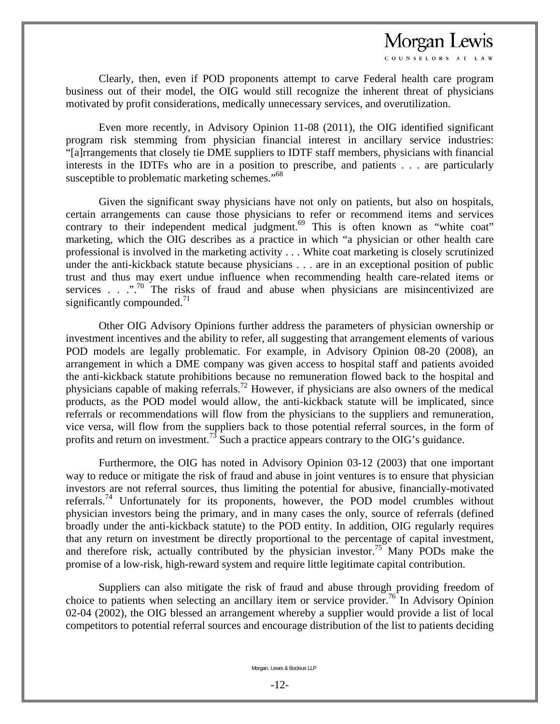OUNSELORS AT LAW

 Clearly, then, even if POD proponents attempt to carve Federal health care program business out of their model, the OIG would still recognize the inherent threat of physicians motivated by profit considerations, medically unnecessary services, and overutilization.

 Even more recently, in Advisory Opinion 11-08 (2011), the OIG identified significant program risk stemming from physician financial interest in ancillary service industries: "[a]rrangements that closely tie DME suppliers to IDTF staff members, physicians with financial interests in the IDTFs who are in a position to prescribe, and patients . . . are particularly susceptible to problematic marketing schemes."<sup>68</sup>

 Given the significant sway physicians have not only on patients, but also on hospitals, certain arrangements can cause those physicians to refer or recommend items and services contrary to their independent medical judgment.<sup>69</sup> This is often known as "white coat" marketing, which the OIG describes as a practice in which "a physician or other health care professional is involved in the marketing activity . . . White coat marketing is closely scrutinized under the anti-kickback statute because physicians . . . are in an exceptional position of public trust and thus may exert undue influence when recommending health care-related items or services . . ...<sup>70</sup> The risks of fraud and abuse when physicians are misincentivized are significantly compounded. $^{71}$ 

 Other OIG Advisory Opinions further address the parameters of physician ownership or investment incentives and the ability to refer, all suggesting that arrangement elements of various POD models are legally problematic. For example, in Advisory Opinion 08-20 (2008), an arrangement in which a DME company was given access to hospital staff and patients avoided the anti-kickback statute prohibitions because no remuneration flowed back to the hospital and physicians capable of making referrals.72 However, if physicians are also owners of the medical products, as the POD model would allow, the anti-kickback statute will be implicated, since referrals or recommendations will flow from the physicians to the suppliers and remuneration, vice versa, will flow from the suppliers back to those potential referral sources, in the form of profits and return on investment.73 Such a practice appears contrary to the OIG's guidance.

 Furthermore, the OIG has noted in Advisory Opinion 03-12 (2003) that one important way to reduce or mitigate the risk of fraud and abuse in joint ventures is to ensure that physician investors are not referral sources, thus limiting the potential for abusive, financially-motivated referrals.<sup>74</sup> Unfortunately for its proponents, however, the POD model crumbles without physician investors being the primary, and in many cases the only, source of referrals (defined broadly under the anti-kickback statute) to the POD entity. In addition, OIG regularly requires that any return on investment be directly proportional to the percentage of capital investment, and therefore risk, actually contributed by the physician investor.<sup>75</sup> Many PODs make the promise of a low-risk, high-reward system and require little legitimate capital contribution.

 Suppliers can also mitigate the risk of fraud and abuse through providing freedom of choice to patients when selecting an ancillary item or service provider.<sup>76</sup> In Advisory Opinion 02-04 (2002), the OIG blessed an arrangement whereby a supplier would provide a list of local competitors to potential referral sources and encourage distribution of the list to patients deciding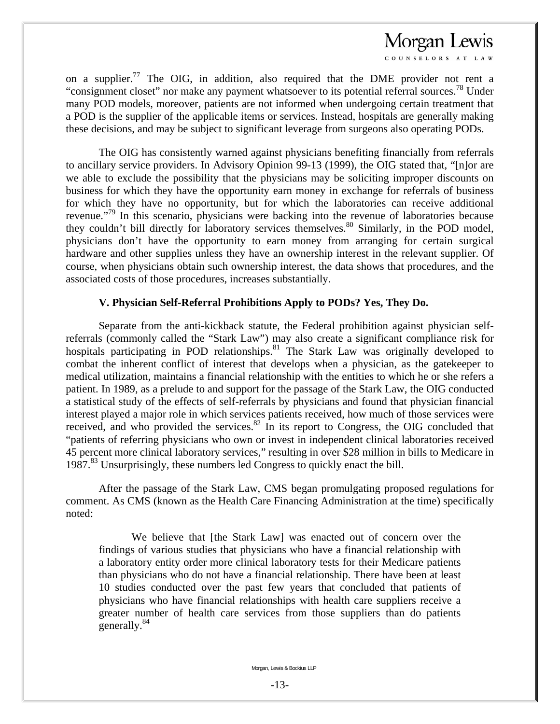COUNSELORS AT LAW

on a supplier.<sup>77</sup> The OIG, in addition, also required that the DME provider not rent a "consignment closet" nor make any payment whatsoever to its potential referral sources.<sup>78</sup> Under many POD models, moreover, patients are not informed when undergoing certain treatment that a POD is the supplier of the applicable items or services. Instead, hospitals are generally making these decisions, and may be subject to significant leverage from surgeons also operating PODs.

 The OIG has consistently warned against physicians benefiting financially from referrals to ancillary service providers. In Advisory Opinion 99-13 (1999), the OIG stated that, "[n]or are we able to exclude the possibility that the physicians may be soliciting improper discounts on business for which they have the opportunity earn money in exchange for referrals of business for which they have no opportunity, but for which the laboratories can receive additional revenue."<sup>79</sup> In this scenario, physicians were backing into the revenue of laboratories because they couldn't bill directly for laboratory services themselves.<sup>80</sup> Similarly, in the POD model, physicians don't have the opportunity to earn money from arranging for certain surgical hardware and other supplies unless they have an ownership interest in the relevant supplier. Of course, when physicians obtain such ownership interest, the data shows that procedures, and the associated costs of those procedures, increases substantially.

#### **V. Physician Self-Referral Prohibitions Apply to PODs? Yes, They Do.**

 Separate from the anti-kickback statute, the Federal prohibition against physician selfreferrals (commonly called the "Stark Law") may also create a significant compliance risk for hospitals participating in POD relationships.<sup>81</sup> The Stark Law was originally developed to combat the inherent conflict of interest that develops when a physician, as the gatekeeper to medical utilization, maintains a financial relationship with the entities to which he or she refers a patient. In 1989, as a prelude to and support for the passage of the Stark Law, the OIG conducted a statistical study of the effects of self-referrals by physicians and found that physician financial interest played a major role in which services patients received, how much of those services were received, and who provided the services.<sup>82</sup> In its report to Congress, the OIG concluded that "patients of referring physicians who own or invest in independent clinical laboratories received 45 percent more clinical laboratory services," resulting in over \$28 million in bills to Medicare in 1987.<sup>83</sup> Unsurprisingly, these numbers led Congress to quickly enact the bill.

 After the passage of the Stark Law, CMS began promulgating proposed regulations for comment. As CMS (known as the Health Care Financing Administration at the time) specifically noted:

We believe that [the Stark Law] was enacted out of concern over the findings of various studies that physicians who have a financial relationship with a laboratory entity order more clinical laboratory tests for their Medicare patients than physicians who do not have a financial relationship. There have been at least 10 studies conducted over the past few years that concluded that patients of physicians who have financial relationships with health care suppliers receive a greater number of health care services from those suppliers than do patients generally.<sup>84</sup>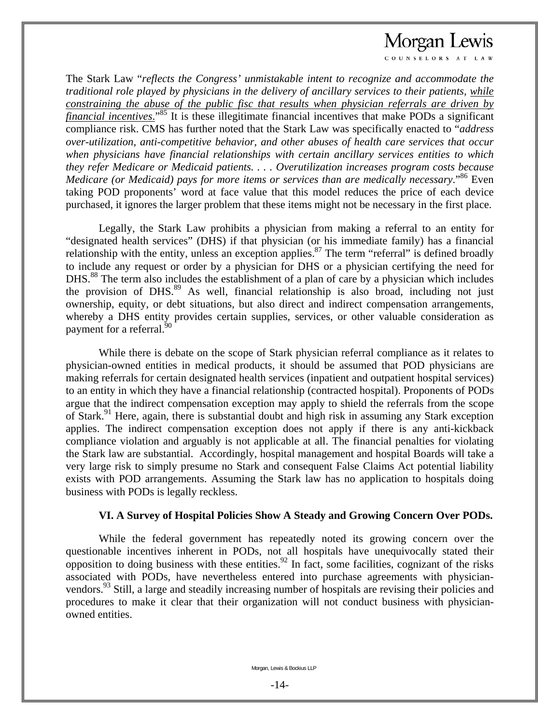OUNSELORS AT LAY

The Stark Law "*reflects the Congress' unmistakable intent to recognize and accommodate the traditional role played by physicians in the delivery of ancillary services to their patients, while constraining the abuse of the public fisc that results when physician referrals are driven by financial incentives*." 85 It is these illegitimate financial incentives that make PODs a significant compliance risk. CMS has further noted that the Stark Law was specifically enacted to "*address over-utilization, anti-competitive behavior, and other abuses of health care services that occur when physicians have financial relationships with certain ancillary services entities to which they refer Medicare or Medicaid patients. . . . Overutilization increases program costs because Medicare (or Medicaid) pays for more items or services than are medically necessary.*"<sup>86</sup> Even taking POD proponents' word at face value that this model reduces the price of each device purchased, it ignores the larger problem that these items might not be necessary in the first place.

 Legally, the Stark Law prohibits a physician from making a referral to an entity for "designated health services" (DHS) if that physician (or his immediate family) has a financial relationship with the entity, unless an exception applies.<sup>87</sup> The term "referral" is defined broadly to include any request or order by a physician for DHS or a physician certifying the need for DHS.<sup>88</sup> The term also includes the establishment of a plan of care by a physician which includes the provision of DHS.<sup>89</sup> As well, financial relationship is also broad, including not just ownership, equity, or debt situations, but also direct and indirect compensation arrangements, whereby a DHS entity provides certain supplies, services, or other valuable consideration as payment for a referral.<sup>50</sup>

 While there is debate on the scope of Stark physician referral compliance as it relates to physician-owned entities in medical products, it should be assumed that POD physicians are making referrals for certain designated health services (inpatient and outpatient hospital services) to an entity in which they have a financial relationship (contracted hospital). Proponents of PODs argue that the indirect compensation exception may apply to shield the referrals from the scope of Stark.<sup>91</sup> Here, again, there is substantial doubt and high risk in assuming any Stark exception applies. The indirect compensation exception does not apply if there is any anti-kickback compliance violation and arguably is not applicable at all. The financial penalties for violating the Stark law are substantial. Accordingly, hospital management and hospital Boards will take a very large risk to simply presume no Stark and consequent False Claims Act potential liability exists with POD arrangements. Assuming the Stark law has no application to hospitals doing business with PODs is legally reckless.

#### **VI. A Survey of Hospital Policies Show A Steady and Growing Concern Over PODs.**

While the federal government has repeatedly noted its growing concern over the questionable incentives inherent in PODs, not all hospitals have unequivocally stated their opposition to doing business with these entities.<sup>92</sup> In fact, some facilities, cognizant of the risks associated with PODs, have nevertheless entered into purchase agreements with physicianvendors.<sup>93</sup> Still, a large and steadily increasing number of hospitals are revising their policies and procedures to make it clear that their organization will not conduct business with physicianowned entities.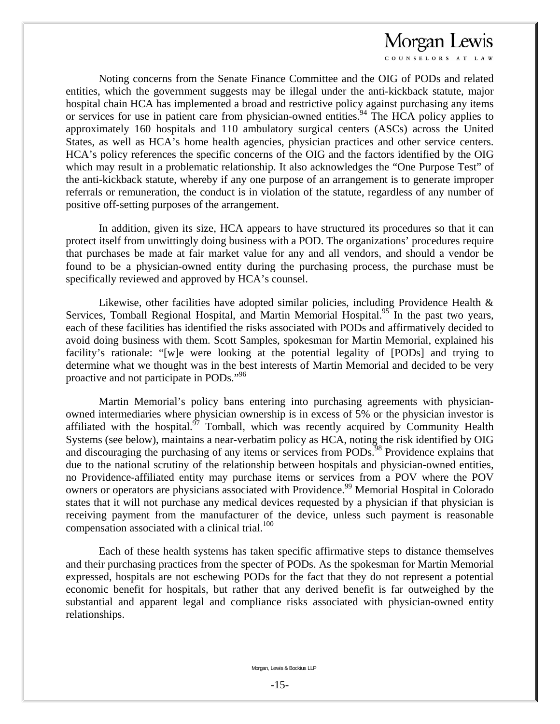COUNSELORS AT LAV

 Noting concerns from the Senate Finance Committee and the OIG of PODs and related entities, which the government suggests may be illegal under the anti-kickback statute, major hospital chain HCA has implemented a broad and restrictive policy against purchasing any items or services for use in patient care from physician-owned entities.<sup>94</sup> The HCA policy applies to approximately 160 hospitals and 110 ambulatory surgical centers (ASCs) across the United States, as well as HCA's home health agencies, physician practices and other service centers. HCA's policy references the specific concerns of the OIG and the factors identified by the OIG which may result in a problematic relationship. It also acknowledges the "One Purpose Test" of the anti-kickback statute, whereby if any one purpose of an arrangement is to generate improper referrals or remuneration, the conduct is in violation of the statute, regardless of any number of positive off-setting purposes of the arrangement.

 In addition, given its size, HCA appears to have structured its procedures so that it can protect itself from unwittingly doing business with a POD. The organizations' procedures require that purchases be made at fair market value for any and all vendors, and should a vendor be found to be a physician-owned entity during the purchasing process, the purchase must be specifically reviewed and approved by HCA's counsel.

 Likewise, other facilities have adopted similar policies, including Providence Health & Services, Tomball Regional Hospital, and Martin Memorial Hospital.<sup>95</sup> In the past two years, each of these facilities has identified the risks associated with PODs and affirmatively decided to avoid doing business with them. Scott Samples, spokesman for Martin Memorial, explained his facility's rationale: "[w]e were looking at the potential legality of [PODs] and trying to determine what we thought was in the best interests of Martin Memorial and decided to be very proactive and not participate in PODs."<sup>96</sup>

 Martin Memorial's policy bans entering into purchasing agreements with physicianowned intermediaries where physician ownership is in excess of 5% or the physician investor is affiliated with the hospital. $97$  Tomball, which was recently acquired by Community Health Systems (see below), maintains a near-verbatim policy as HCA, noting the risk identified by OIG and discouraging the purchasing of any items or services from PODs.<sup>98</sup> Providence explains that due to the national scrutiny of the relationship between hospitals and physician-owned entities, no Providence-affiliated entity may purchase items or services from a POV where the POV owners or operators are physicians associated with Providence.<sup>99</sup> Memorial Hospital in Colorado states that it will not purchase any medical devices requested by a physician if that physician is receiving payment from the manufacturer of the device, unless such payment is reasonable compensation associated with a clinical trial. $100$ 

 Each of these health systems has taken specific affirmative steps to distance themselves and their purchasing practices from the specter of PODs. As the spokesman for Martin Memorial expressed, hospitals are not eschewing PODs for the fact that they do not represent a potential economic benefit for hospitals, but rather that any derived benefit is far outweighed by the substantial and apparent legal and compliance risks associated with physician-owned entity relationships.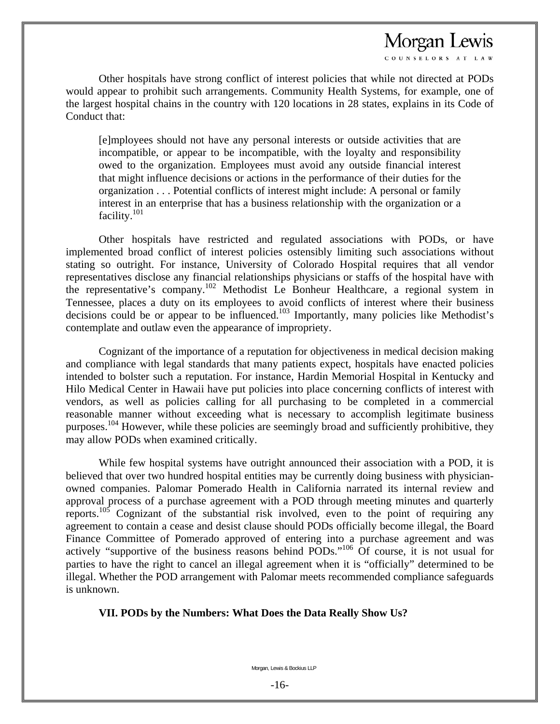OUNSELORS AT LAY

 Other hospitals have strong conflict of interest policies that while not directed at PODs would appear to prohibit such arrangements. Community Health Systems, for example, one of the largest hospital chains in the country with 120 locations in 28 states, explains in its Code of Conduct that:

[e]mployees should not have any personal interests or outside activities that are incompatible, or appear to be incompatible, with the loyalty and responsibility owed to the organization. Employees must avoid any outside financial interest that might influence decisions or actions in the performance of their duties for the organization . . . Potential conflicts of interest might include: A personal or family interest in an enterprise that has a business relationship with the organization or a facility.<sup>101</sup>

 Other hospitals have restricted and regulated associations with PODs, or have implemented broad conflict of interest policies ostensibly limiting such associations without stating so outright. For instance, University of Colorado Hospital requires that all vendor representatives disclose any financial relationships physicians or staffs of the hospital have with the representative's company.102 Methodist Le Bonheur Healthcare, a regional system in Tennessee, places a duty on its employees to avoid conflicts of interest where their business decisions could be or appear to be influenced.103 Importantly, many policies like Methodist's contemplate and outlaw even the appearance of impropriety.

 Cognizant of the importance of a reputation for objectiveness in medical decision making and compliance with legal standards that many patients expect, hospitals have enacted policies intended to bolster such a reputation. For instance, Hardin Memorial Hospital in Kentucky and Hilo Medical Center in Hawaii have put policies into place concerning conflicts of interest with vendors, as well as policies calling for all purchasing to be completed in a commercial reasonable manner without exceeding what is necessary to accomplish legitimate business purposes.<sup>104</sup> However, while these policies are seemingly broad and sufficiently prohibitive, they may allow PODs when examined critically.

 While few hospital systems have outright announced their association with a POD, it is believed that over two hundred hospital entities may be currently doing business with physicianowned companies. Palomar Pomerado Health in California narrated its internal review and approval process of a purchase agreement with a POD through meeting minutes and quarterly reports.105 Cognizant of the substantial risk involved, even to the point of requiring any agreement to contain a cease and desist clause should PODs officially become illegal, the Board Finance Committee of Pomerado approved of entering into a purchase agreement and was actively "supportive of the business reasons behind  $\overline{PODs}$ ."<sup>106</sup> Of course, it is not usual for parties to have the right to cancel an illegal agreement when it is "officially" determined to be illegal. Whether the POD arrangement with Palomar meets recommended compliance safeguards is unknown.

#### **VII. PODs by the Numbers: What Does the Data Really Show Us?**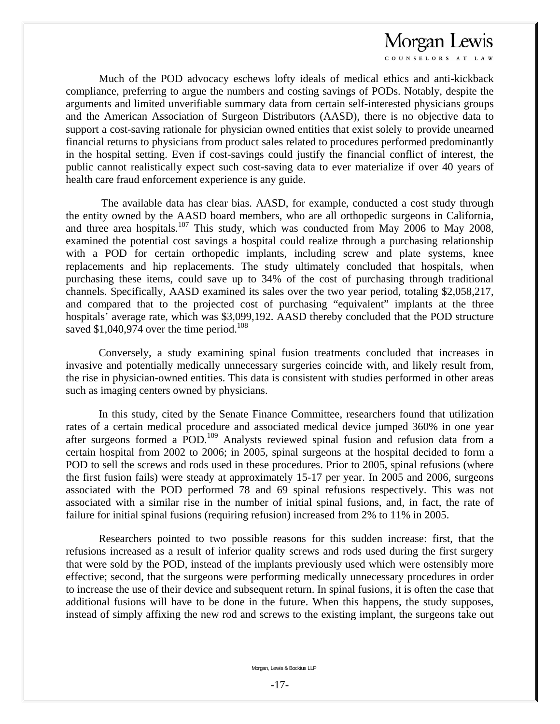COUNSELORS AT LAY

 Much of the POD advocacy eschews lofty ideals of medical ethics and anti-kickback compliance, preferring to argue the numbers and costing savings of PODs. Notably, despite the arguments and limited unverifiable summary data from certain self-interested physicians groups and the American Association of Surgeon Distributors (AASD), there is no objective data to support a cost-saving rationale for physician owned entities that exist solely to provide unearned financial returns to physicians from product sales related to procedures performed predominantly in the hospital setting. Even if cost-savings could justify the financial conflict of interest, the public cannot realistically expect such cost-saving data to ever materialize if over 40 years of health care fraud enforcement experience is any guide.

 The available data has clear bias. AASD, for example, conducted a cost study through the entity owned by the AASD board members, who are all orthopedic surgeons in California, and three area hospitals.<sup>107</sup> This study, which was conducted from May 2006 to May 2008, examined the potential cost savings a hospital could realize through a purchasing relationship with a POD for certain orthopedic implants, including screw and plate systems, knee replacements and hip replacements. The study ultimately concluded that hospitals, when purchasing these items, could save up to 34% of the cost of purchasing through traditional channels. Specifically, AASD examined its sales over the two year period, totaling \$2,058,217, and compared that to the projected cost of purchasing "equivalent" implants at the three hospitals' average rate, which was \$3,099,192. AASD thereby concluded that the POD structure saved  $$1,040,974$  over the time period.<sup>108</sup>

 Conversely, a study examining spinal fusion treatments concluded that increases in invasive and potentially medically unnecessary surgeries coincide with, and likely result from, the rise in physician-owned entities. This data is consistent with studies performed in other areas such as imaging centers owned by physicians.

 In this study, cited by the Senate Finance Committee, researchers found that utilization rates of a certain medical procedure and associated medical device jumped 360% in one year after surgeons formed a POD.<sup>109</sup> Analysts reviewed spinal fusion and refusion data from a certain hospital from 2002 to 2006; in 2005, spinal surgeons at the hospital decided to form a POD to sell the screws and rods used in these procedures. Prior to 2005, spinal refusions (where the first fusion fails) were steady at approximately 15-17 per year. In 2005 and 2006, surgeons associated with the POD performed 78 and 69 spinal refusions respectively. This was not associated with a similar rise in the number of initial spinal fusions, and, in fact, the rate of failure for initial spinal fusions (requiring refusion) increased from 2% to 11% in 2005.

 Researchers pointed to two possible reasons for this sudden increase: first, that the refusions increased as a result of inferior quality screws and rods used during the first surgery that were sold by the POD, instead of the implants previously used which were ostensibly more effective; second, that the surgeons were performing medically unnecessary procedures in order to increase the use of their device and subsequent return. In spinal fusions, it is often the case that additional fusions will have to be done in the future. When this happens, the study supposes, instead of simply affixing the new rod and screws to the existing implant, the surgeons take out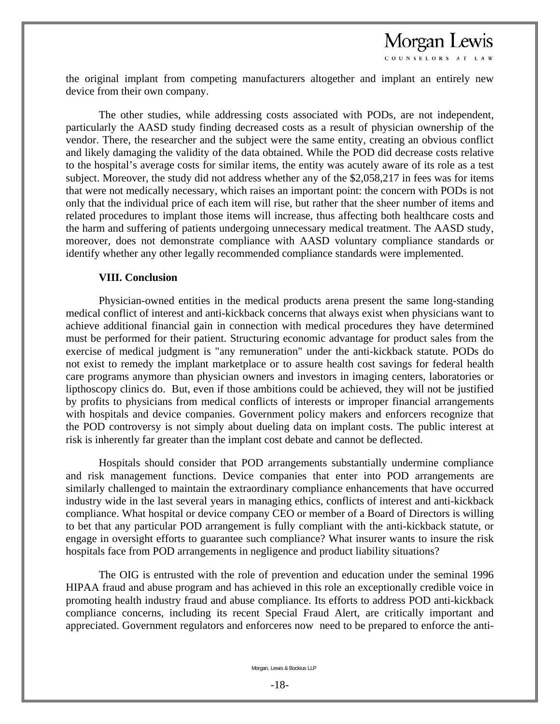COUNSELORS AT LAW

the original implant from competing manufacturers altogether and implant an entirely new device from their own company.

 The other studies, while addressing costs associated with PODs, are not independent, particularly the AASD study finding decreased costs as a result of physician ownership of the vendor. There, the researcher and the subject were the same entity, creating an obvious conflict and likely damaging the validity of the data obtained. While the POD did decrease costs relative to the hospital's average costs for similar items, the entity was acutely aware of its role as a test subject. Moreover, the study did not address whether any of the \$2,058,217 in fees was for items that were not medically necessary, which raises an important point: the concern with PODs is not only that the individual price of each item will rise, but rather that the sheer number of items and related procedures to implant those items will increase, thus affecting both healthcare costs and the harm and suffering of patients undergoing unnecessary medical treatment. The AASD study, moreover, does not demonstrate compliance with AASD voluntary compliance standards or identify whether any other legally recommended compliance standards were implemented.

#### **VIII. Conclusion**

 Physician-owned entities in the medical products arena present the same long-standing medical conflict of interest and anti-kickback concerns that always exist when physicians want to achieve additional financial gain in connection with medical procedures they have determined must be performed for their patient. Structuring economic advantage for product sales from the exercise of medical judgment is "any remuneration" under the anti-kickback statute. PODs do not exist to remedy the implant marketplace or to assure health cost savings for federal health care programs anymore than physician owners and investors in imaging centers, laboratories or lipthoscopy clinics do. But, even if those ambitions could be achieved, they will not be justified by profits to physicians from medical conflicts of interests or improper financial arrangements with hospitals and device companies. Government policy makers and enforcers recognize that the POD controversy is not simply about dueling data on implant costs. The public interest at risk is inherently far greater than the implant cost debate and cannot be deflected.

 Hospitals should consider that POD arrangements substantially undermine compliance and risk management functions. Device companies that enter into POD arrangements are similarly challenged to maintain the extraordinary compliance enhancements that have occurred industry wide in the last several years in managing ethics, conflicts of interest and anti-kickback compliance. What hospital or device company CEO or member of a Board of Directors is willing to bet that any particular POD arrangement is fully compliant with the anti-kickback statute, or engage in oversight efforts to guarantee such compliance? What insurer wants to insure the risk hospitals face from POD arrangements in negligence and product liability situations?

 The OIG is entrusted with the role of prevention and education under the seminal 1996 HIPAA fraud and abuse program and has achieved in this role an exceptionally credible voice in promoting health industry fraud and abuse compliance. Its efforts to address POD anti-kickback compliance concerns, including its recent Special Fraud Alert, are critically important and appreciated. Government regulators and enforceres now need to be prepared to enforce the anti-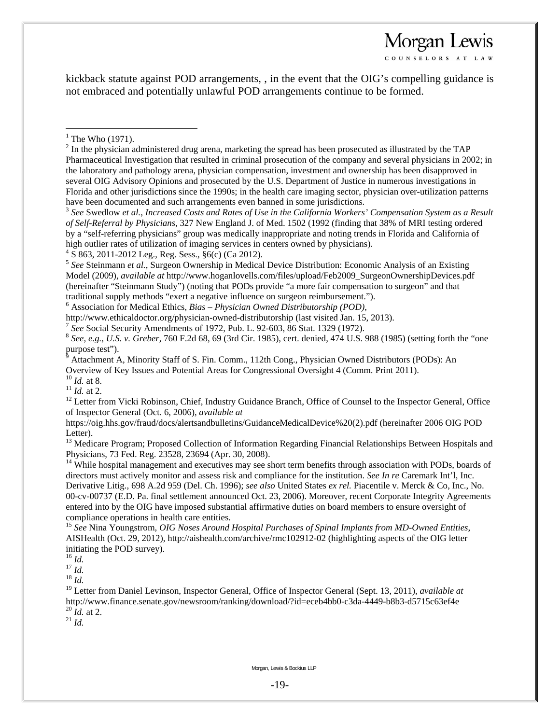COUNSELORS AT LAW

kickback statute against POD arrangements, , in the event that the OIG's compelling guidance is not embraced and potentially unlawful POD arrangements continue to be formed.

 $\overline{a}$ 

<sup>3</sup> *See* Swedlow *et al.*, *Increased Costs and Rates of Use in the California Workers' Compensation System as a Result of Self-Referral by Physicians*, 327 New England J. of Med. 1502 (1992 (finding that 38% of MRI testing ordered by a "self-referring physicians" group was medically inappropriate and noting trends in Florida and California of high outlier rates of utilization of imaging services in centers owned by physicians).

 $4\overline{S}$  863, 2011-2012 Leg., Reg. Sess.,  $\S6(c)$  (Ca 2012).

6 Association for Medical Ethics, *Bias – Physician Owned Distributorship (POD)*,

http://www.ethicaldoctor.org/physician-owned-distributorship (last visited Jan. 15, 2013).<br>
<sup>7</sup> See Social Security Amendments of 1972, Pub. L. 92-603, 86 Stat. 1329 (1972).<br>
<sup>8</sup> See, e.g., U.S. v. Greber, 760 F.2d 68, 69 purpose test").

9 Attachment A, Minority Staff of S. Fin. Comm., 112th Cong., Physician Owned Distributors (PODs): An

Overview of Key Issues and Potential Areas for Congressional Oversight 4 (Comm. Print 2011).<br><sup>10</sup> *Id.* at 8.<br><sup>11</sup> *Id.* at 2.<br><sup>12</sup> Letter from Vicki Robinson, Chief, Industry Guidance Branch, Office of Counsel to the Insp of Inspector General (Oct. 6, 2006), *available at* 

https://oig.hhs.gov/fraud/docs/alertsandbulletins/GuidanceMedicalDevice%20(2).pdf (hereinafter 2006 OIG POD Letter).

<sup>13</sup> Medicare Program; Proposed Collection of Information Regarding Financial Relationships Between Hospitals and Physicians, 73 Fed. Reg. 23528, 23694 (Apr. 30, 2008).

<sup>14</sup> While hospital management and executives may see short term benefits through association with PODs, boards of directors must actively monitor and assess risk and compliance for the institution. *See In re* Caremark Int'l, Inc. Derivative Litig., 698 A.2d 959 (Del. Ch. 1996); *see also* United States *ex rel.* Piacentile v. Merck & Co, Inc., No. 00-cv-00737 (E.D. Pa. final settlement announced Oct. 23, 2006). Moreover, recent Corporate Integrity Agreements entered into by the OIG have imposed substantial affirmative duties on board members to ensure oversight of compliance operations in health care entities.

<sup>15</sup> *See* Nina Youngstrom, *OIG Noses Around Hospital Purchases of Spinal Implants from MD-Owned Entities*, AISHealth (Oct. 29, 2012), http://aishealth.com/archive/rmc102912-02 (highlighting aspects of the OIG letter initiating the POD survey).<br> $^{16}$  *Id.* 

16 *Id.* 17 *Id.* 18 *Id.* 

<sup>19</sup> Letter from Daniel Levinson, Inspector General, Office of Inspector General (Sept. 13, 2011), *available at* http://www.finance.senate.gov/newsroom/ranking/download/?id=eceb4bb0-c3da-4449-b8b3-d5715c63ef4e  $^{20}$  *Id.* at 2.<br><sup>21</sup> *Id.* 

 $<sup>1</sup>$  The Who (1971).</sup>

 $2^{2}$  In the physician administered drug arena, marketing the spread has been prosecuted as illustrated by the TAP Pharmaceutical Investigation that resulted in criminal prosecution of the company and several physicians in 2002; in the laboratory and pathology arena, physician compensation, investment and ownership has been disapproved in several OIG Advisory Opinions and prosecuted by the U.S. Department of Justice in numerous investigations in Florida and other jurisdictions since the 1990s; in the health care imaging sector, physician over-utilization patterns have been documented and such arrangements even banned in some jurisdictions.

<sup>5</sup> *See* Steinmann *et al.*, Surgeon Ownership in Medical Device Distribution: Economic Analysis of an Existing Model (2009), *available at* http://www.hoganlovells.com/files/upload/Feb2009\_SurgeonOwnershipDevices.pdf (hereinafter "Steinmann Study") (noting that PODs provide "a more fair compensation to surgeon" and that traditional supply methods "exert a negative influence on surgeon reimbursement.").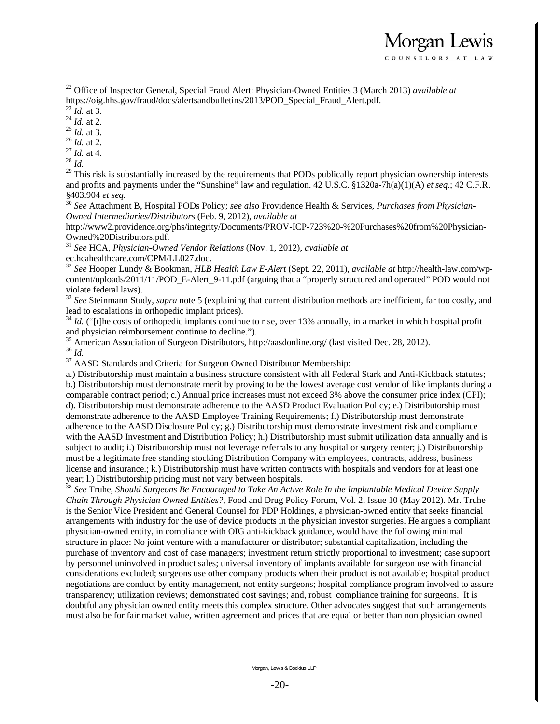22 Office of Inspector General, Special Fraud Alert: Physician-Owned Entities 3 (March 2013) *available at*  https://oig.hhs.gov/fraud/docs/alertsandbulletins/2013/POD\_Special\_Fraud\_Alert.pdf.<br><sup>23</sup> *Id.* at 3.<br><sup>24</sup> *Id.* at 2.<br><sup>25</sup> *Id.* at 3.<br><sup>26</sup> *Id.* at 2.<br><sup>27</sup> *Id.* at 4.<br><sup>28</sup> *Id.* at 4.

Morgan Lewis COUNSELORS AT LAW

<sup>29</sup> This risk is substantially increased by the requirements that PODs publically report physician ownership interests and profits and payments under the "Sunshine" law and regulation. 42 U.S.C. §1320a-7h(a)(1)(A) *et seq.*; 42 C.F.R. §403.904 *et seq.* <sup>30</sup> *See* Attachment B, Hospital PODs Policy; *see also* Providence Health & Services, *Purchases from Physician-*

*Owned Intermediaries/Distributors* (Feb. 9, 2012), *available at* 

http://www2.providence.org/phs/integrity/Documents/PROV-ICP-723%20-%20Purchases%20from%20Physician-Owned%20Distributors.pdf.

<sup>31</sup> *See* HCA, *Physician-Owned Vendor Relations* (Nov. 1, 2012), *available at*

ec.hcahealthcare.com/CPM/LL027.doc.

<sup>32</sup> *See* Hooper Lundy & Bookman, *HLB Health Law E-Alert* (Sept. 22, 2011), *available at* http://health-law.com/wpcontent/uploads/2011/11/POD\_E-Alert\_9-11.pdf (arguing that a "properly structured and operated" POD would not violate federal laws).

<sup>33</sup> See Steinmann Study, *supra* note 5 (explaining that current distribution methods are inefficient, far too costly, and lead to escalations in orthopedic implant prices).<br><sup>34</sup> *Id.* ("[t]he costs of orthopedic implants continue to rise, over 13% annually, in a market in which hospital profit

and physician reimbursement continue to decline.").

<sup>35</sup> American Association of Surgeon Distributors, http://aasdonline.org/ (last visited Dec. 28, 2012).<br><sup>36</sup> *Id.* <sup>37</sup> AASD Standards and Criteria for Surgeon Owned Distributor Membership:

a.) Distributorship must maintain a business structure consistent with all Federal Stark and Anti-Kickback statutes; b.) Distributorship must demonstrate merit by proving to be the lowest average cost vendor of like implants during a comparable contract period; c.) Annual price increases must not exceed 3% above the consumer price index (CPI); d). Distributorship must demonstrate adherence to the AASD Product Evaluation Policy; e.) Distributorship must demonstrate adherence to the AASD Employee Training Requirements; f.) Distributorship must demonstrate adherence to the AASD Disclosure Policy; g.) Distributorship must demonstrate investment risk and compliance with the AASD Investment and Distribution Policy; h.) Distributorship must submit utilization data annually and is subject to audit; i.) Distributorship must not leverage referrals to any hospital or surgery center; j.) Distributorship must be a legitimate free standing stocking Distribution Company with employees, contracts, address, business license and insurance.; k.) Distributorship must have written contracts with hospitals and vendors for at least one year; l.) Distributorship pricing must not vary between hospitals.

<sup>38</sup> *See* Truhe, *Should Surgeons Be Encouraged to Take An Active Role In the Implantable Medical Device Supply Chain Through Physician Owned Entities?*, Food and Drug Policy Forum, Vol. 2, Issue 10 (May 2012). Mr. Truhe is the Senior Vice President and General Counsel for PDP Holdings, a physician-owned entity that seeks financial arrangements with industry for the use of device products in the physician investor surgeries. He argues a compliant physician-owned entity, in compliance with OIG anti-kickback guidance, would have the following minimal structure in place: No joint venture with a manufacturer or distributor; substantial capitalization, including the purchase of inventory and cost of case managers; investment return strictly proportional to investment; case support by personnel uninvolved in product sales; universal inventory of implants available for surgeon use with financial considerations excluded; surgeons use other company products when their product is not available; hospital product negotiations are conduct by entity management, not entity surgeons; hospital compliance program involved to assure transparency; utilization reviews; demonstrated cost savings; and, robust compliance training for surgeons. It is doubtful any physician owned entity meets this complex structure. Other advocates suggest that such arrangements must also be for fair market value, written agreement and prices that are equal or better than non physician owned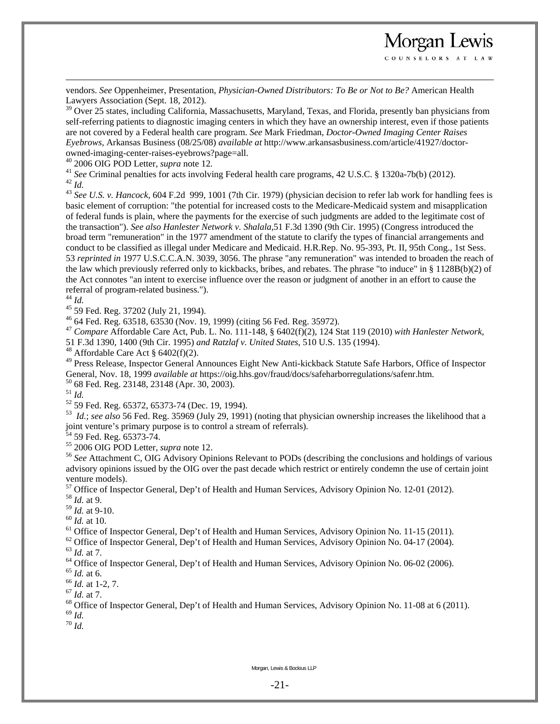vendors. *See* Oppenheimer, Presentation, *Physician-Owned Distributors: To Be or Not to Be?* American Health Lawyers Association (Sept. 18, 2012).

<sup>39</sup> Over 25 states, including California, Massachusetts, Maryland, Texas, and Florida, presently ban physicians from self-referring patients to diagnostic imaging centers in which they have an ownership interest, even if those patients are not covered by a Federal health care program. *See* Mark Friedman, *Doctor-Owned Imaging Center Raises Eyebrows,* Arkansas Business (08/25/08) *available at* http://www.arkansasbusiness.com/article/41927/doctorowned-imaging-center-raises-eyebrows?page=all.<br><sup>40</sup> 2006 OIG POD Letter, *supra* note 12.

Morgan Lewis COUNSELORS AT LAW

<sup>41</sup> See Criminal penalties for acts involving Federal health care programs, 42 U.S.C. § 1320a-7b(b) (2012).<br><sup>42</sup> Id.<br><sup>43</sup> See U.S. v. Hancock, 604 F.2d 999, 1001 (7th Cir. 1979) (physician decision to refer lab work for

basic element of corruption: "the potential for increased costs to the Medicare-Medicaid system and misapplication of federal funds is plain, where the payments for the exercise of such judgments are added to the legitimate cost of the transaction"). *See also Hanlester Network v. Shalala,*51 F.3d 1390 (9th Cir. 1995) (Congress introduced the broad term "remuneration" in the 1977 amendment of the statute to clarify the types of financial arrangements and conduct to be classified as illegal under Medicare and Medicaid. H.R.Rep. No. 95-393, Pt. II, 95th Cong., 1st Sess. 53 *reprinted in* 1977 U.S.C.C.A.N. 3039, 3056. The phrase "any remuneration" was intended to broaden the reach of the law which previously referred only to kickbacks, bribes, and rebates. The phrase "to induce" in § 1128B(b)(2) of the Act connotes "an intent to exercise influence over the reason or judgment of another in an effort to cause the referral of program-related business.").  $44$  *Id.* 

<sup>45</sup> 59 Fed. Reg. 37202 (July 21, 1994).

46 64 Fed. Reg. 63518, 63530 (Nov. 19, 1999) (citing 56 Fed. Reg. 35972).

<sup>47</sup> *Compare* Affordable Care Act, Pub. L. No. 111-148, § 6402(f)(2), 124 Stat 119 (2010) *with Hanlester Network,* 

51 F.3d 1390, 1400 (9th Cir. 1995) *and Ratzlaf v. United States*, 510 U.S. 135 (1994). 48 Affordable Care Act § 6402(f)(2).

<sup>49</sup> Press Release, Inspector General Announces Eight New Anti-kickback Statute Safe Harbors, Office of Inspector General, Nov. 18, 1999 *available at* https://oig.hhs.gov/fraud/docs/safeharborregulations/safenr.htm. 50 68 Fed. Reg. 23148, 23148 (Apr. 30, 2003).  $^{51}$  *M* 

<sup>51</sup> *Id.* 52 59 Fed. Reg. 65372, 65373-74 (Dec. 19, 1994).

53 *Id.*; *see also* 56 Fed. Reg. 35969 (July 29, 1991) (noting that physician ownership increases the likelihood that a joint venture's primary purpose is to control a stream of referrals).

 $54$  59 Fed. Reg. 65373-74.

<sup>55</sup> 2006 OIG POD Letter, *supra* note 12.<br><sup>56</sup> *See* Attachment C, OIG Advisory Opinions Relevant to PODs (describing the conclusions and holdings of various advisory opinions issued by the OIG over the past decade which restrict or entirely condemn the use of certain joint venture models).

<sup>57</sup> Office of Inspector General, Dep't of Health and Human Services, Advisory Opinion No. 12-01 (2012).

<sup>58</sup> *Id.* at 9.<br><sup>59</sup> *Id.* at 9-10.

<sup>60</sup> *Id.* at 10. **60** *Id.* at 10. **61** Office of Inspector General, Dep't of Health and Human Services, Advisory Opinion No. 11-15 (2011).

<sup>62</sup> Office of Inspector General, Dep't of Health and Human Services, Advisory Opinion No. 04-17 (2004).<br><sup>63</sup> *Id.* at 7.

 $^{64}$  Office of Inspector General, Dep't of Health and Human Services, Advisory Opinion No. 06-02 (2006).<br> $^{65}$  *Id.* at 6.

<sup>66</sup> *Id.* at 1-2, 7.<br><sup>67</sup> *Id.* at 7.<br><sup>68</sup> Office of Inspector General, Dep't of Health and Human Services, Advisory Opinion No. 11-08 at 6 (2011).<br><sup>69</sup> *Id* 

 $^{\rm 70}$   $\it{Id}.$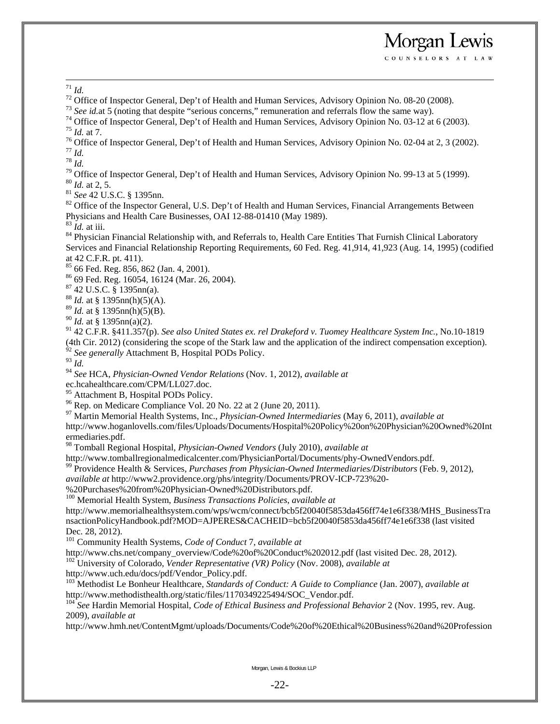<sup>71</sup> *Id.* <sup>72</sup> Office of Inspector General, Dep't of Health and Human Services, Advisory Opinion No. 08-20 (2008). <sup>73</sup> *See id.at* 5 (noting that despite "serious concerns," remuneration and referrals flow the same way).

<sup>74</sup> Office of Inspector General, Dep't of Health and Human Services, Advisory Opinion No. 03-12 at 6 (2003). <sup>75</sup> *Id.* at 7.

<sup>76</sup> Office of Inspector General, Dep't of Health and Human Services, Advisory Opinion No. 02-04 at 2, 3 (2002).<br><sup>77</sup> Id

Morgan Lewis COUNSELORS AT LAW

<sup>78</sup> *Id.*<br><sup>79</sup> Office of Inspector General, Dep't of Health and Human Services, Advisory Opinion No. 99-13 at 5 (1999).<br><sup>80</sup> *Id.* at 2, 5.

<sup>81</sup> *See* 42 U.S.C. § 1395nn.<br><sup>82</sup> Office of the Inspector General, U.S. Dep't of Health and Human Services, Financial Arrangements Between Physicians and Health Care Businesses, OAI 12-88-01410 (May 1989).<br><sup>83</sup> *Id.* at iii.

<sup>84</sup> Physician Financial Relationship with, and Referrals to, Health Care Entities That Furnish Clinical Laboratory Services and Financial Relationship Reporting Requirements, 60 Fed. Reg. 41,914, 41,923 (Aug. 14, 1995) (codified at 42 C.F.R. pt. 411).

85 66 Fed. Reg. 856, 862 (Jan. 4, 2001).

86 69 Fed. Reg. 16054, 16124 (Mar. 26, 2004).

87 42 U.S.C. § 1395nn(a).

 $88$  *Id.* at § 1395nn(h)(5)(A).

<sup>89</sup> *Id.* at § 1395nn(h)(5)(B).

<sup>90</sup> *Id.* at § 1395nn(a)(2).

91 42 C.F.R. §411.357(p). *See also United States ex. rel Drakeford v. Tuomey Healthcare System Inc.*, No.10-1819 (4th Cir. 2012) (considering the scope of the Stark law and the application of the indirect compensation exception). <sup>92</sup> See generally Attachment B, Hospital PODs Policy.

<sup>93</sup> *Id.* 

<sup>94</sup> *See* HCA, *Physician-Owned Vendor Relations* (Nov. 1, 2012), *available at*

ec.hcahealthcare.com/CPM/LL027.doc.

<sup>95</sup> Attachment B, Hospital PODs Policy.

 $96$  Rep. on Medicare Compliance Vol. 20 No. 22 at 2 (June 20, 2011).

97 Martin Memorial Health Systems, Inc., *Physician-Owned Intermediaries* (May 6, 2011), *available at* http://www.hoganlovells.com/files/Uploads/Documents/Hospital%20Policy%20on%20Physician%20Owned%20Int ermediaries.pdf.

98 Tomball Regional Hospital, *Physician-Owned Vendors* (July 2010), *available at* 

http://www.tomballregionalmedicalcenter.com/PhysicianPortal/Documents/phy-OwnedVendors.pdf. 99 Providence Health & Services, *Purchases from Physician-Owned Intermediaries/Distributors* (Feb. 9, 2012),

*available at* http://www2.providence.org/phs/integrity/Documents/PROV-ICP-723%20-

%20Purchases%20from%20Physician-Owned%20Distributors.pdf.

100 Memorial Health System, *Business Transactions Policies*, *available at*

http://www.memorialhealthsystem.com/wps/wcm/connect/bcb5f20040f5853da456ff74e1e6f338/MHS\_BusinessTra nsactionPolicyHandbook.pdf?MOD=AJPERES&CACHEID=bcb5f20040f5853da456ff74e1e6f338 (last visited Dec. 28, 2012).

<sup>101</sup> Community Health Systems, *Code of Conduct* 7, *available at* <br>http://www.chs.net/company\_overview/Code%20of%20Conduct%202012.pdf (last visited Dec. 28, 2012).

<sup>102</sup> University of Colorado, *Vender Representative (VR) Policy* (Nov. 2008), *available at* 

http://www.uch.edu/docs/pdf/Vendor\_Policy.pdf.

<sup>103</sup> Methodist Le Bonheur Healthcare, *Standards of Conduct: A Guide to Compliance* (Jan. 2007), *available at* http://www.methodisthealth.org/static/files/1170349225494/SOC\_Vendor.pdf.

<sup>104</sup> See Hardin Memorial Hospital, *Code of Ethical Business and Professional Behavior* 2 (Nov. 1995, rev. Aug. 2009), *available at*

http://www.hmh.net/ContentMgmt/uploads/Documents/Code%20of%20Ethical%20Business%20and%20Profession